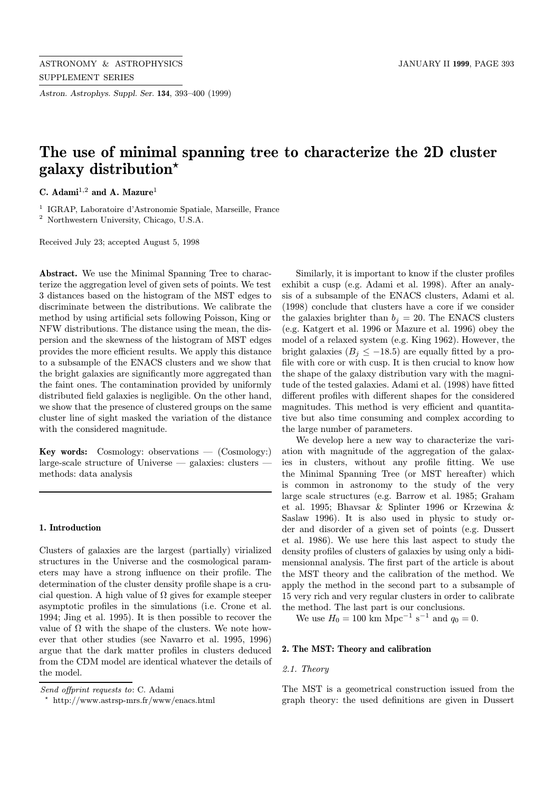Astron. Astrophys. Suppl. Ser. 134, 393–400 (1999)

# The use of minimal spanning tree to characterize the 2D cluster galaxy distribution?

C. Adami<sup>1,2</sup> and A. Mazure<sup>1</sup>

<sup>1</sup> IGRAP, Laboratoire d'Astronomie Spatiale, Marseille, France

<sup>2</sup> Northwestern University, Chicago, U.S.A.

Received July 23; accepted August 5, 1998

Abstract. We use the Minimal Spanning Tree to characterize the aggregation level of given sets of points. We test 3 distances based on the histogram of the MST edges to discriminate between the distributions. We calibrate the method by using artificial sets following Poisson, King or NFW distributions. The distance using the mean, the dispersion and the skewness of the histogram of MST edges provides the more efficient results. We apply this distance to a subsample of the ENACS clusters and we show that the bright galaxies are significantly more aggregated than the faint ones. The contamination provided by uniformly distributed field galaxies is negligible. On the other hand, we show that the presence of clustered groups on the same cluster line of sight masked the variation of the distance with the considered magnitude.

**Key words:** Cosmology: observations  $-$  (Cosmology:) large-scale structure of Universe — galaxies: clusters methods: data analysis

# 1. Introduction

Clusters of galaxies are the largest (partially) virialized structures in the Universe and the cosmological parameters may have a strong influence on their profile. The determination of the cluster density profile shape is a crucial question. A high value of  $\Omega$  gives for example steeper asymptotic profiles in the simulations (i.e. Crone et al. 1994; Jing et al. 1995). It is then possible to recover the value of  $\Omega$  with the shape of the clusters. We note however that other studies (see Navarro et al. 1995, 1996) argue that the dark matter profiles in clusters deduced from the CDM model are identical whatever the details of the model.

Similarly, it is important to know if the cluster profiles exhibit a cusp (e.g. Adami et al. 1998). After an analysis of a subsample of the ENACS clusters, Adami et al. (1998) conclude that clusters have a core if we consider the galaxies brighter than  $b_i = 20$ . The ENACS clusters (e.g. Katgert et al. 1996 or Mazure et al. 1996) obey the model of a relaxed system (e.g. King 1962). However, the bright galaxies ( $B_j \leq -18.5$ ) are equally fitted by a profile with core or with cusp. It is then crucial to know how the shape of the galaxy distribution vary with the magnitude of the tested galaxies. Adami et al. (1998) have fitted different profiles with different shapes for the considered magnitudes. This method is very efficient and quantitative but also time consuming and complex according to the large number of parameters.

We develop here a new way to characterize the variation with magnitude of the aggregation of the galaxies in clusters, without any profile fitting. We use the Minimal Spanning Tree (or MST hereafter) which is common in astronomy to the study of the very large scale structures (e.g. Barrow et al. 1985; Graham et al. 1995; Bhavsar & Splinter 1996 or Krzewina & Saslaw 1996). It is also used in physic to study order and disorder of a given set of points (e.g. Dussert et al. 1986). We use here this last aspect to study the density profiles of clusters of galaxies by using only a bidimensionnal analysis. The first part of the article is about the MST theory and the calibration of the method. We apply the method in the second part to a subsample of 15 very rich and very regular clusters in order to calibrate the method. The last part is our conclusions.

We use  $H_0 = 100 \text{ km } \text{Mpc}^{-1} \text{ s}^{-1}$  and  $q_0 = 0$ .

# 2. The MST: Theory and calibration

# 2.1. Theory

The MST is a geometrical construction issued from the graph theory: the used definitions are given in Dussert

Send offprint requests to: C. Adami

<sup>?</sup> http://www.astrsp-mrs.fr/www/enacs.html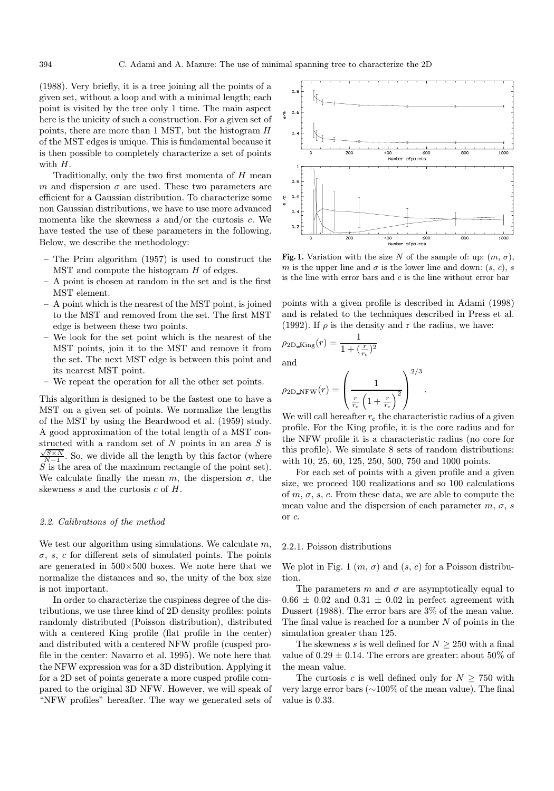(1988). Very briefly, it is a tree joining all the points of a given set, without a loop and with a minimal length; each point is visited by the tree only 1 time. The main aspect here is the unicity of such a construction. For a given set of points, there are more than 1 MST, but the histogram H of the MST edges is unique. This is fundamental because it is then possible to completely characterize a set of points with  $H$ .

Traditionally, only the two first momenta of  $H$  mean m and dispersion  $\sigma$  are used. These two parameters are efficient for a Gaussian distribution. To characterize some non Gaussian distributions, we have to use more advanced momenta like the skewness  $s$  and/or the curtosis  $c$ . We have tested the use of these parameters in the following. Below, we describe the methodology:

- The Prim algorithm (1957) is used to construct the  $MST$  and compute the histogram  $H$  of edges.
- A point is chosen at random in the set and is the first MST element.
- A point which is the nearest of the MST point, is joined to the MST and removed from the set. The first MST edge is between these two points.
- We look for the set point which is the nearest of the MST points, join it to the MST and remove it from the set. The next MST edge is between this point and its nearest MST point.
- We repeat the operation for all the other set points.

This algorithm is designed to be the fastest one to have a MST on a given set of points. We normalize the lengths of the MST by using the Beardwood et al. (1959) study. A good approximation of the total length of a MST constructed with a random set of N points in an area S is  $\frac{\sqrt{S} \times N}{N-1}$ . So, we divide all the length by this factor (where  $S \nightharpoonup S$  is the area of the maximum rectangle of the point set). We calculate finally the mean m, the dispersion  $\sigma$ , the skewness s and the curtosis  $c$  of  $H$ .

# 2.2. Calibrations of the method

We test our algorithm using simulations. We calculate  $m$ ,  $\sigma$ , s, c for different sets of simulated points. The points are generated in  $500\times500$  boxes. We note here that we normalize the distances and so, the unity of the box size is not important.

In order to characterize the cuspiness degree of the distributions, we use three kind of 2D density profiles: points randomly distributed (Poisson distribution), distributed with a centered King profile (flat profile in the center) and distributed with a centered NFW profile (cusped profile in the center: Navarro et al. 1995). We note here that the NFW expression was for a 3D distribution. Applying it for a 2D set of points generate a more cusped profile compared to the original 3D NFW. However, we will speak of "NFW profiles" hereafter. The way we generated sets of



Fig. 1. Variation with the size N of the sample of: up:  $(m, \sigma)$ , m is the upper line and  $\sigma$  is the lower line and down:  $(s, c)$ , s is the line with error bars and  $c$  is the line without error bar

points with a given profile is described in Adami (1998) and is related to the techniques described in Press et al. (1992). If  $\rho$  is the density and r the radius, we have:

$$
\rho_{\text{2D\_King}}(r) = \frac{1}{1 + (\frac{r}{r_c})^2}
$$
 and

$$
\rho_{\text{2D\_NFW}}(r) = \left(\frac{1}{\frac{r}{r_c} \left(1 + \frac{r}{r_c}\right)^2}\right)^{2/3}
$$

We will call hereafter  $r_c$  the characteristic radius of a given profile. For the King profile, it is the core radius and for the NFW profile it is a characteristic radius (no core for this profile). We simulate 8 sets of random distributions: with 10, 25, 60, 125, 250, 500, 750 and 1000 points.

.

For each set of points with a given profile and a given size, we proceed 100 realizations and so 100 calculations of  $m, \sigma, s, c$ . From these data, we are able to compute the mean value and the dispersion of each parameter  $m, \sigma, s$ or c.

# 2.2.1. Poisson distributions

We plot in Fig. 1  $(m, \sigma)$  and  $(s, c)$  for a Poisson distribution.

The parameters m and  $\sigma$  are asymptotically equal to  $0.66 \pm 0.02$  and  $0.31 \pm 0.02$  in perfect agreement with Dussert (1988). The error bars are 3% of the mean value. The final value is reached for a number  $N$  of points in the simulation greater than 125.

The skewness s is well defined for  $N \geq 250$  with a final value of  $0.29 \pm 0.14$ . The errors are greater: about 50% of the mean value.

The curtosis c is well defined only for  $N \geq 750$  with very large error bars (∼100% of the mean value). The final value is 0.33.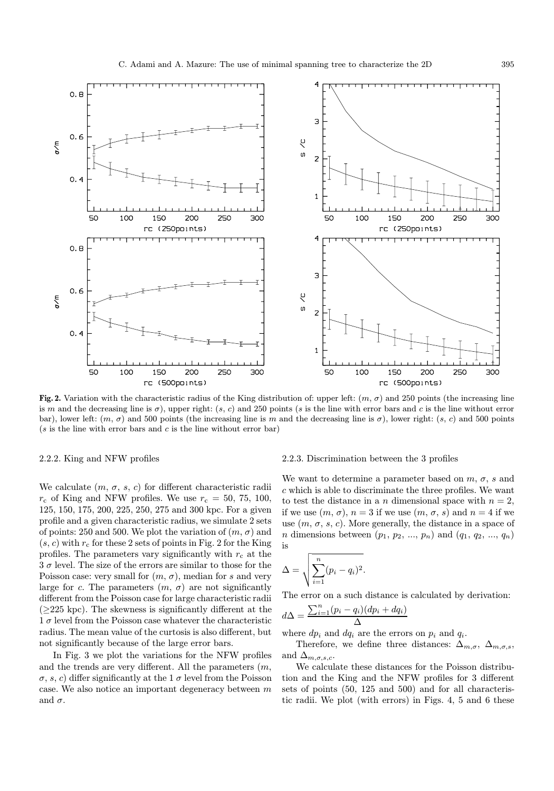

Fig. 2. Variation with the characteristic radius of the King distribution of: upper left:  $(m, \sigma)$  and 250 points (the increasing line is m and the decreasing line is  $\sigma$ ), upper right: (s, c) and 250 points (s is the line with error bars and c is the line without error bar), lower left:  $(m, \sigma)$  and 500 points (the increasing line is m and the decreasing line is  $\sigma$ ), lower right:  $(s, c)$  and 500 points  $(s$  is the line with error bars and c is the line without error bar)

## 2.2.2. King and NFW profiles

We calculate  $(m, \sigma, s, c)$  for different characteristic radii  $r_c$  of King and NFW profiles. We use  $r_c = 50, 75, 100,$ 125, 150, 175, 200, 225, 250, 275 and 300 kpc. For a given profile and a given characteristic radius, we simulate 2 sets of points: 250 and 500. We plot the variation of  $(m, \sigma)$  and  $(s, c)$  with  $r_c$  for these 2 sets of points in Fig. 2 for the King profiles. The parameters vary significantly with  $r_c$  at the  $3 \sigma$  level. The size of the errors are similar to those for the Poisson case: very small for  $(m, \sigma)$ , median for s and very large for c. The parameters  $(m, \sigma)$  are not significantly different from the Poisson case for large characteristic radii  $(\geq 225 \text{ kpc})$ . The skewness is significantly different at the  $1\sigma$  level from the Poisson case whatever the characteristic radius. The mean value of the curtosis is also different, but not significantly because of the large error bars.

In Fig. 3 we plot the variations for the NFW profiles and the trends are very different. All the parameters  $(m,$  $\sigma$ , s, c) differ significantly at the 1  $\sigma$  level from the Poisson case. We also notice an important degeneracy between  $m$ and  $\sigma.$ 

## 2.2.3. Discrimination between the 3 profiles

We want to determine a parameter based on  $m, \sigma, s$  and c which is able to discriminate the three profiles. We want to test the distance in a n dimensional space with  $n = 2$ , if we use  $(m, \sigma)$ ,  $n = 3$  if we use  $(m, \sigma, s)$  and  $n = 4$  if we use  $(m, \sigma, s, c)$ . More generally, the distance in a space of *n* dimensions between  $(p_1, p_2, ..., p_n)$  and  $(q_1, q_2, ..., q_n)$ is

$$
\Delta = \sqrt{\sum_{i=1}^{n} (p_i - q_i)^2}.
$$

The error on a such distance is calculated by derivation:

$$
d\Delta = \frac{\sum_{i=1}^{n} (p_i - q_i)(dp_i + dq_i)}{\Delta}
$$

where  $dp_i$  and  $dq_i$  are the errors on  $p_i$  and  $q_i$ .

Therefore, we define three distances:  $\Delta_{m,\sigma}$ ,  $\Delta_{m,\sigma,s}$ , and  $\Delta_{m,\sigma,s,c}$ .

We calculate these distances for the Poisson distribution and the King and the NFW profiles for 3 different sets of points (50, 125 and 500) and for all characteristic radii. We plot (with errors) in Figs. 4, 5 and 6 these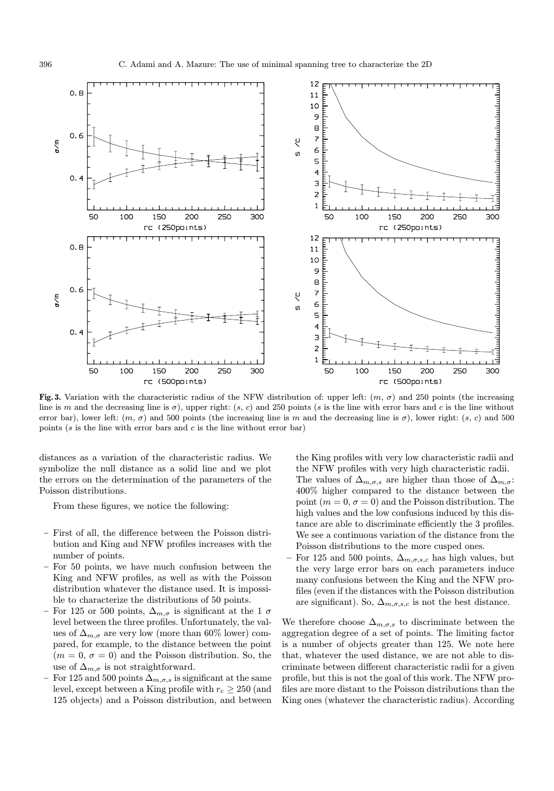

Fig. 3. Variation with the characteristic radius of the NFW distribution of: upper left:  $(m, \sigma)$  and 250 points (the increasing line is m and the decreasing line is  $\sigma$ ), upper right: (s, c) and 250 points (s is the line with error bars and c is the line without error bar), lower left:  $(m, \sigma)$  and 500 points (the increasing line is m and the decreasing line is  $\sigma$ ), lower right:  $(s, c)$  and 500 points ( $s$  is the line with error bars and  $c$  is the line without error bar)

distances as a variation of the characteristic radius. We symbolize the null distance as a solid line and we plot the errors on the determination of the parameters of the Poisson distributions.

From these figures, we notice the following:

- First of all, the difference between the Poisson distribution and King and NFW profiles increases with the number of points.
- For 50 points, we have much confusion between the King and NFW profiles, as well as with the Poisson distribution whatever the distance used. It is impossible to characterize the distributions of 50 points.
- For 125 or 500 points,  $\Delta_{m,\sigma}$  is significant at the 1  $\sigma$ level between the three profiles. Unfortunately, the values of  $\Delta_{m,\sigma}$  are very low (more than 60% lower) compared, for example, to the distance between the point  $(m = 0, \sigma = 0)$  and the Poisson distribution. So, the use of  $\Delta_{m,\sigma}$  is not straightforward.
- For 125 and 500 points  $\Delta_{m,\sigma,s}$  is significant at the same level, except between a King profile with  $r_c \geq 250$  (and 125 objects) and a Poisson distribution, and between

the King profiles with very low characteristic radii and the NFW profiles with very high characteristic radii. The values of  $\Delta_{m,\sigma,s}$  are higher than those of  $\Delta_{m,\sigma}$ : 400% higher compared to the distance between the point  $(m = 0, \sigma = 0)$  and the Poisson distribution. The high values and the low confusions induced by this distance are able to discriminate efficiently the 3 profiles. We see a continuous variation of the distance from the Poisson distributions to the more cusped ones.

For 125 and 500 points,  $\Delta_{m,\sigma,s,c}$  has high values, but the very large error bars on each parameters induce many confusions between the King and the NFW profiles (even if the distances with the Poisson distribution are significant). So,  $\Delta_{m,\sigma,s,c}$  is not the best distance.

We therefore choose  $\Delta_{m,\sigma,s}$  to discriminate between the aggregation degree of a set of points. The limiting factor is a number of objects greater than 125. We note here that, whatever the used distance, we are not able to discriminate between different characteristic radii for a given profile, but this is not the goal of this work. The NFW profiles are more distant to the Poisson distributions than the King ones (whatever the characteristic radius). According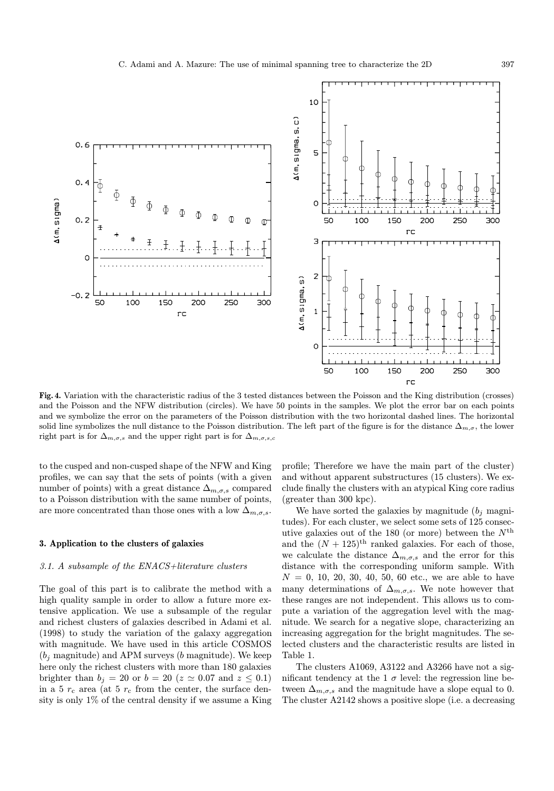

Fig. 4. Variation with the characteristic radius of the 3 tested distances between the Poisson and the King distribution (crosses) and the Poisson and the NFW distribution (circles). We have 50 points in the samples. We plot the error bar on each points and we symbolize the error on the parameters of the Poisson distribution with the two horizontal dashed lines. The horizontal solid line symbolizes the null distance to the Poisson distribution. The left part of the figure is for the distance  $\Delta_{m,\sigma}$ , the lower right part is for  $\Delta_{m,\sigma,s}$  and the upper right part is for  $\Delta_{m,\sigma,s,c}$ 

to the cusped and non-cusped shape of the NFW and King profiles, we can say that the sets of points (with a given number of points) with a great distance  $\Delta_{m,\sigma,s}$  compared to a Poisson distribution with the same number of points, are more concentrated than those ones with a low  $\Delta_{m,\sigma,s}$ .

# 3. Application to the clusters of galaxies

#### 3.1. A subsample of the ENACS+literature clusters

The goal of this part is to calibrate the method with a high quality sample in order to allow a future more extensive application. We use a subsample of the regular and richest clusters of galaxies described in Adami et al. (1998) to study the variation of the galaxy aggregation with magnitude. We have used in this article COSMOS  $(b_i \text{ magnitude})$  and APM surveys  $(b \text{ magnitude})$ . We keep here only the richest clusters with more than 180 galaxies brighter than  $b_j = 20$  or  $b = 20$  ( $z \approx 0.07$  and  $z \le 0.1$ ) in a 5  $r_c$  area (at 5  $r_c$  from the center, the surface density is only 1% of the central density if we assume a King

profile; Therefore we have the main part of the cluster) and without apparent substructures (15 clusters). We exclude finally the clusters with an atypical King core radius (greater than 300 kpc).

We have sorted the galaxies by magnitude  $(b_i \text{ magni-}$ tudes). For each cluster, we select some sets of 125 consecutive galaxies out of the 180 (or more) between the  $N<sup>th</sup>$ and the  $(N + 125)^{th}$  ranked galaxies. For each of those, we calculate the distance  $\Delta_{m,\sigma,s}$  and the error for this distance with the corresponding uniform sample. With  $N = 0, 10, 20, 30, 40, 50, 60$  etc., we are able to have many determinations of  $\Delta_{m,\sigma,s}$ . We note however that these ranges are not independent. This allows us to compute a variation of the aggregation level with the magnitude. We search for a negative slope, characterizing an increasing aggregation for the bright magnitudes. The selected clusters and the characteristic results are listed in Table 1.

The clusters A1069, A3122 and A3266 have not a significant tendency at the 1  $\sigma$  level: the regression line between  $\Delta_{m,\sigma,s}$  and the magnitude have a slope equal to 0. The cluster A2142 shows a positive slope (i.e. a decreasing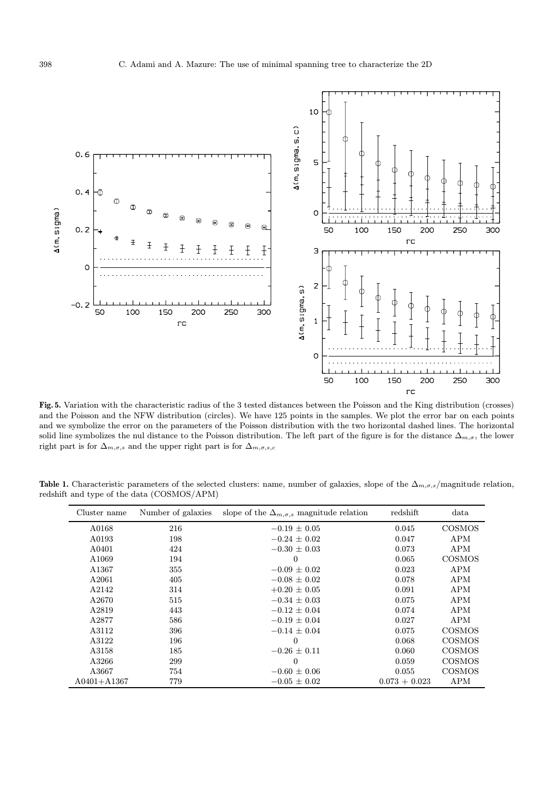

Fig. 5. Variation with the characteristic radius of the 3 tested distances between the Poisson and the King distribution (crosses) and the Poisson and the NFW distribution (circles). We have 125 points in the samples. We plot the error bar on each points and we symbolize the error on the parameters of the Poisson distribution with the two horizontal dashed lines. The horizontal solid line symbolizes the nul distance to the Poisson distribution. The left part of the figure is for the distance  $\Delta_{m,\sigma}$ , the lower right part is for  $\Delta_{m,\sigma,s}$  and the upper right part is for  $\Delta_{m,\sigma,s,c}$ 

Table 1. Characteristic parameters of the selected clusters: name, number of galaxies, slope of the  $\Delta_{m,\sigma,s}/$ magnitude relation, redshift and type of the data (COSMOS/APM)

| Cluster name      | Number of galaxies | slope of the $\Delta_{m,\sigma,s}$ magnitude relation | redshift        | data          |
|-------------------|--------------------|-------------------------------------------------------|-----------------|---------------|
| A0168             | 216                | $-0.19 \pm 0.05$                                      | 0.045           | <b>COSMOS</b> |
| A0193             | 198                | $-0.24 \pm 0.02$                                      | 0.047           | APM           |
| A0401             | 424                | $-0.30 \pm 0.03$                                      | 0.073           | APM           |
| A <sub>1069</sub> | 194                | $\overline{0}$                                        | 0.065           | <b>COSMOS</b> |
| A1367             | 355                | $-0.09 \pm 0.02$                                      | 0.023           | APM           |
| A2061             | 405                | $-0.08 \pm 0.02$                                      | 0.078           | APM           |
| A2142             | 314                | $+0.20 \pm 0.05$                                      | 0.091           | APM           |
| A2670             | 515                | $-0.34 \pm 0.03$                                      | 0.075           | APM           |
| A2819             | 443                | $-0.12 \pm 0.04$                                      | 0.074           | APM           |
| A2877             | 586                | $-0.19 \pm 0.04$                                      | 0.027           | APM           |
| A3112             | 396                | $-0.14 \pm 0.04$                                      | 0.075           | <b>COSMOS</b> |
| A3122             | 196                | $\overline{0}$                                        | 0.068           | <b>COSMOS</b> |
| A3158             | 185                | $-0.26 \pm 0.11$                                      | 0.060           | <b>COSMOS</b> |
| A3266             | 299                | $\theta$                                              | 0.059           | <b>COSMOS</b> |
| A3667             | 754                | $-0.60 \pm 0.06$                                      | 0.055           | <b>COSMOS</b> |
| $A0401 + A1367$   | 779                | $-0.05 \pm 0.02$                                      | $0.073 + 0.023$ | APM           |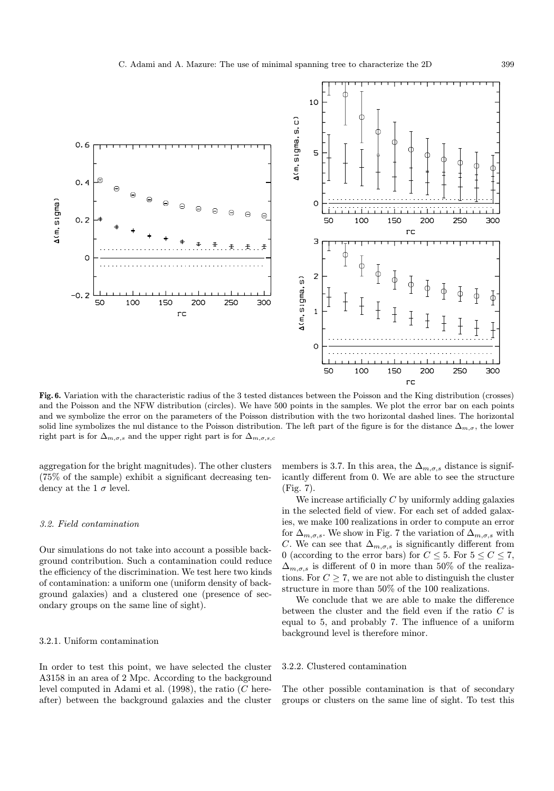

Fig. 6. Variation with the characteristic radius of the 3 tested distances between the Poisson and the King distribution (crosses) and the Poisson and the NFW distribution (circles). We have 500 points in the samples. We plot the error bar on each points and we symbolize the error on the parameters of the Poisson distribution with the two horizontal dashed lines. The horizontal solid line symbolizes the nul distance to the Poisson distribution. The left part of the figure is for the distance  $\Delta_{m,\sigma}$ , the lower right part is for  $\Delta_{m,\sigma,s}$  and the upper right part is for  $\Delta_{m,\sigma,s,c}$ 

aggregation for the bright magnitudes). The other clusters (75% of the sample) exhibit a significant decreasing tendency at the 1  $\sigma$  level.

# 3.2. Field contamination

Our simulations do not take into account a possible background contribution. Such a contamination could reduce the efficiency of the discrimination. We test here two kinds of contamination: a uniform one (uniform density of background galaxies) and a clustered one (presence of secondary groups on the same line of sight).

# 3.2.1. Uniform contamination

In order to test this point, we have selected the cluster A3158 in an area of 2 Mpc. According to the background level computed in Adami et al.  $(1998)$ , the ratio  $(C$  hereafter) between the background galaxies and the cluster

members is 3.7. In this area, the  $\Delta_{m,\sigma,s}$  distance is significantly different from 0. We are able to see the structure (Fig. 7).

We increase artificially  $C$  by uniformly adding galaxies in the selected field of view. For each set of added galaxies, we make 100 realizations in order to compute an error for  $\Delta_{m,\sigma,s}$ . We show in Fig. 7 the variation of  $\Delta_{m,\sigma,s}$  with C. We can see that  $\Delta_{m,\sigma,s}$  is significantly different from 0 (according to the error bars) for  $C \leq 5$ . For  $5 \leq C \leq 7$ ,  $\Delta_{m,\sigma,s}$  is different of 0 in more than 50% of the realizations. For  $C \geq 7$ , we are not able to distinguish the cluster structure in more than 50% of the 100 realizations.

We conclude that we are able to make the difference between the cluster and the field even if the ratio  $C$  is equal to 5, and probably 7. The influence of a uniform background level is therefore minor.

#### 3.2.2. Clustered contamination

The other possible contamination is that of secondary groups or clusters on the same line of sight. To test this